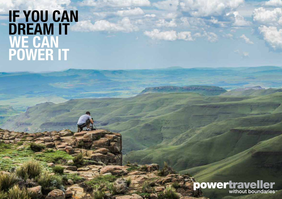# **IF YOU CAN<br>DREAM IT** WE CAN<br>POWER IT

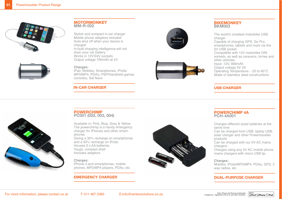



## **MOTORMONKEY MM-R-002**

Stylish and compact in-car charger Mobile phone adaptors included Auto-shut off when your device is charged In-built charging intelligence-will not drain your car battery Works in 12V/24V sockets Output voltage 700mAh at 5V

#### **Charges:**

iPad, Mobiles, Smartphones, iPods/ MP3/MP4, PDA's, PSP/Handheld games consoles, Sat Navs

## **IN-CAR CHARGER**





#### **BIKEMONKEY BKM003**

The world's smallest motorbike USB charger Capable of charging GPS, Go Pro, smartphones, tablets and more via the 5V USB socket Compatible with 12V motorbike DIN sockets, as well as caravans, lorries and other vehicles Input: 12V, 900mAh Output voltage 5V 2A Operating Temperature: - 20 to 60°C Made of stainless steel constructions

## **USB CHARGER**



#### **POWERCHIMP PC001 (002, 003, 004)**

Available in: Pink, Blue, Grey & Yellow The powerchimp is a handy emergency charger for iPhones and other smartphones Giving a 30% recharge on smartphones and a 50% recharge on iPods. Houses 2 x AA batteries Tough, compact shell Includes adaptors

#### **Charges:**

iPhone 4 and smartphones, mobile phones, MP3/MP4 players, PDAs, etc

## **EMERGENCY CHARGER**



# **POWERCHIMP 4A PCH-4A001**

Charges different sized batteries at the same time

Can be charged from USB, laptop USB, solar charger and other Powertraveller products

Can be charged with our 5V AC mains chargers

Charges using any 5V AC mobile phone mains chargers with micro USB tip.

#### **Charges:**

Mobiles, iPods/MP3/MP4, PDAs, GPS, 2 way radios, etc

 $\overbrace{\mathbb{R}}^{\text{Made for}}$  iPod  $\overbrace{\mathbb{R}}$ iPod  $\overbrace{\mathbb{R}}$ iPod  $\overbrace{\mathbb{R}}$ 

## **DUAL-PURPOSE CHARGER**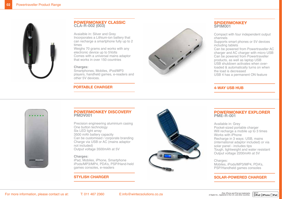

## **POWERMONKEY CLASSIC CLA-R-002 (003)**

Avaialble in: Silver and Grey Incorporates a Lithium-ion battery that can recharge a smartphone fully up to 2 times

Weighs 70 grams and works with any electronic device up to 5Volts Comes with a universal mains adaptor that works in over 150 countries

#### **Charges:**

Smartphones, Mobiles, iPod/MP3 players, handheld games, e-readers and other 5V devices.

## **PORTABLE CHARGER**



## **SPIDERMONKEY SPIM001**

Compact with four independent output channels

Supports smart phones or 5V devices including tablets

Can be powered from Powertraveller AC charger and AC charger with micro USB Can be powered from Powertraveller products, as well as laptop USB USB shutdown activates when overloaded & automatically turns on when the load is decreased USB 4 has a permanent ON feature

## **4-WAY USB HUB**



## **POWERMONKEY DISCOVERY PMDV001**

Precision engineering aluminium casing One button technology Six LED light array 3500 mAh battery capacity Can be customised / corporate branding Charge via USB or AC (mains adaptor not included) Output voltage 3500mAh at 5V

#### **Charges:**

iPad, Mobiles, iPhone, Smartphone iPods/MP3/MP4, PDA's, PSP/Hand-held games consoles, e-readers

## **STYLISH CHARGER**



## **POWERMONKEY EXPLORER PME-R-001**

Available in: Grey Pocket-sized portable charger Will recharge a mobile up to 3 times Works with iPhone Recharge in 3 ways: USB, mains (international adaptor included) or via solar panel - includes tips Tough, lightweight and water resistant Output voltage 2200mAh at 5V

Charges:

Mobiles, iPods/MP3/MP4, PDA's, PSP/Handheld games consoles

## **SOLAR-POWERED CHARGER**

 $\overbrace{\mathbb{R}}^{\text{Made for}}$  iPod  $\overbrace{\mathbb{R}}$ iPod  $\overbrace{\mathbb{R}}$ iPod  $\overbrace{\mathbb{R}}$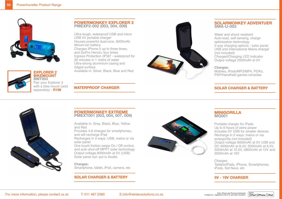



## **EXPLORER 2 BIKEMOUNT**

**BMT003** Pair your Explorer 2 with a bike mount (sold separately) - **R199**

## **POWERMONKEY EXPLORER 2 PMEXP2-002 (003, 004, 009)**

Ultra-tough, waterproof USB and micro USB 5V portable charger Houses powerful dual-core, 6000mAh lithium-ion battery Charges iPhone 5 up to three times, and GoPro Hero3+ four times Ingress Protection (IP)67 - waterproof for 30 minutes in 1 metre of water Ultra-strong aluminium casing and ridged surface Available in: Silver, Black, Blue and Red



## **SOLARMONKEY ADVENTUER SMA-U-003**

Water and shock resistant Auto-load, self-sensing, charge optimization technology 3 way charging options - solar panel, USB and International Mains charger (not included) Charged/Charging LED Indicator Output voltage 2500mAh at 5V

#### **Charges:**

Mobiles, iPods/MP3/MP4, PDA's, PSP/Handheld games consoles

## **SOLAR CHARGER & BATTERY**



## **POWERMONKEY EXTREME PMEXT001 (003, 004, 007, 009)**

**WATERPROOF CHARGER**

Available in: Grey, Black, Blue, Yellow and Red

Provides 4-6 charges for smartphones, and will recharge iPad

Recharges in 3 ways: USB, mains or via solar panel

One touch friction swipe On / Off control, and auto shut-off MPPT solar technology Output voltage 9000mAh at 5V (USB) Solar panel out- put is 3watts

#### **Charges:**

Smartphone, tablet, iPod, camera, etc

## **SOLAR CHARGER & BATTERY**



## **MINIGORILLA MG001**

Portable charger for iPads Up to 6 hours of extra power Includes 5V USB for smaller devices Recharge in 2 ways: mains or via solargorilla (not included) Output voltage 6000mAh at 5V USB and DC 4000mAh at 8,4V, 3500mAh at 9.5V, 3200mAh at 10.5V, 2800mAh at 12V and 2000mAh at 19V

#### Charges: Tablets/iPads, iPhone, Smartphones, iPods, Sat Navs, etc

# **5V - 19V CHARGER**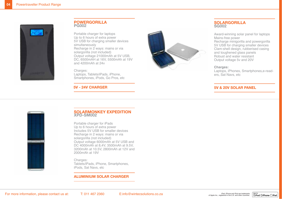

#### **POWERGORILLA PG002**

Portable charger for laptops Up to 6 hours of extra power 5V USB for charging smaller devices simultaneously Recharge in 2 ways: mains or via solargorilla (not included) Output voltage 21000mAh at 5V USB, DC, 6500mAH at 16V, 5500mAh at 19V and 4200mAh at 24v

Charges:

Laptops, Tablets/iPads, iPhone, Smartphones, iPods, Go Pros, etc

**5V - 24V CHARGER**



## **SOLARGORILLA SG002**

Award-winning solar panel for laptops Mains-free power Recharge minigorilla and powergorilla 5V USB for charging smaller devices Clam-shell design, rubberised casing and toughened glass panels Robust and water resistant Output voltage 5v and 20V

#### **Charges:**

Laptops, iPhones, Smartphones,e-readers, Sat Navs, etc

## **5V & 20V SOLAR PANEL**



#### **SOLARMONKEY EXPEDITION XPD-SM002**

Portable charger for iPads Up to 6 hours of extra power Includes 5V USB for smaller devices Recharge in 2 ways: mains or via solargorilla (not included) Output voltage 6000mAh at 5V USB and DC 4000mAh at 8,4V, 3500mAh at 9.5V, 3200mAh at 10.5V, 2800mAh at 12V and 2000mAh at 19V

#### Charges:

Tablets/iPads, iPhone, Smartphones, iPods, Sat Navs, etc

## **ALUMINIUM SOLAR CHARGER**

Made for

**SiPod DiPhone DiPad**